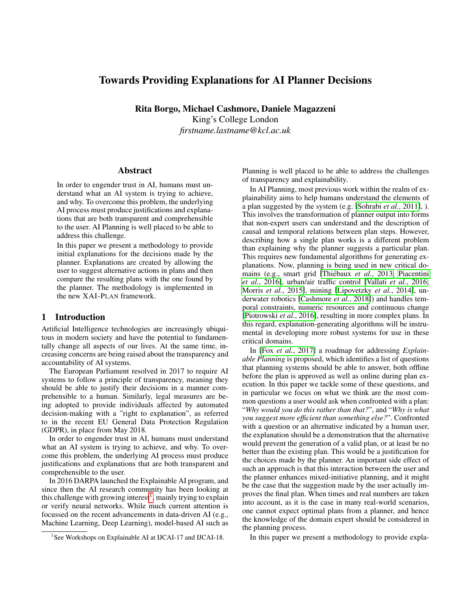# Towards Providing Explanations for AI Planner Decisions

Rita Borgo, Michael Cashmore, Daniele Magazzeni King's College London *firstname.lastname@kcl.ac.uk*

#### Abstract

In order to engender trust in AI, humans must understand what an AI system is trying to achieve, and why. To overcome this problem, the underlying AI process must produce justifications and explanations that are both transparent and comprehensible to the user. AI Planning is well placed to be able to address this challenge.

In this paper we present a methodology to provide initial explanations for the decisions made by the planner. Explanations are created by allowing the user to suggest alternative actions in plans and then compare the resulting plans with the one found by the planner. The methodology is implemented in the new XAI-PLAN framework.

# 1 Introduction

Artificial Intelligence technologies are increasingly ubiquitous in modern society and have the potential to fundamentally change all aspects of our lives. At the same time, increasing concerns are being raised about the transparency and accountability of AI systems.

The European Parliament resolved in 2017 to require AI systems to follow a principle of transparency, meaning they should be able to justify their decisions in a manner comprehensible to a human. Similarly, legal measures are being adopted to provide individuals affected by automated decision-making with a "right to explanation", as referred to in the recent EU General Data Protection Regulation (GDPR), in place from May 2018.

In order to engender trust in AI, humans must understand what an AI system is trying to achieve, and why. To overcome this problem, the underlying AI process must produce justifications and explanations that are both transparent and comprehensible to the user.

In 2016 DARPA launched the Explainable AI program, and since then the AI research community has been looking at this challenge with growing interest<sup>[1](#page-0-0)</sup>, mainly trying to explain or verify neural networks. While much current attention is focussed on the recent advancements in data-driven AI (e.g., Machine Learning, Deep Learning), model-based AI such as Planning is well placed to be able to address the challenges of transparency and explainability.

In AI Planning, most previous work within the realm of explainability aims to help humans understand the elements of a plan suggested by the system (e.g. [\[Sohrabi](#page-6-0) *et al.*, 2011], ). This involves the transformation of planner output into forms that non-expert users can understand and the description of causal and temporal relations between plan steps. However, describing how a single plan works is a different problem than explaining why the planner suggests a particular plan. This requires new fundamental algorithms for generating explanations. Now, planning is being used in new critical domains (e.g., smart grid [Thiébaux *et al.*, 2013; [Piacentini](#page-6-2) *et al.*[, 2016\]](#page-6-2), urban/air traffic control [\[Vallati](#page-6-3) *et al.*, 2016; Morris *et al.*[, 2015\]](#page-6-4), mining [\[Lipovetzky](#page-6-5) *et al.*, 2014], underwater robotics [\[Cashmore](#page-6-6) *et al.*, 2018]) and handles temporal constraints, numeric resources and continuous change [\[Piotrowski](#page-6-7) *et al.*, 2016], resulting in more complex plans. In this regard, explanation-generating algorithms will be instrumental in developing more robust systems for use in these critical domains.

In [Fox *et al.*[, 2017\]](#page-6-8) a roadmap for addressing *Explainable Planning* is proposed, which identifies a list of questions that planning systems should be able to answer, both offline before the plan is approved as well as online during plan execution. In this paper we tackle some of these questions, and in particular we focus on what we think are the most common questions a user would ask when confronted with a plan: "*Why would you do this rather than that?*", and "*Why is what you suggest more efficient than something else?*". Confronted with a question or an alternative indicated by a human user, the explanation should be a demonstration that the alternative would prevent the generation of a valid plan, or at least be no better than the existing plan. This would be a justification for the choices made by the planner. An important side effect of such an approach is that this interaction between the user and the planner enhances mixed-initiative planning, and it might be the case that the suggestion made by the user actually improves the final plan. When times and real numbers are taken into account, as it is the case in many real-world scenarios, one cannot expect optimal plans from a planner, and hence the knowledge of the domain expert should be considered in the planning process.

In this paper we present a methodology to provide expla-

<span id="page-0-0"></span><sup>&</sup>lt;sup>1</sup>See Workshops on Explainable AI at IJCAI-17 and IJCAI-18.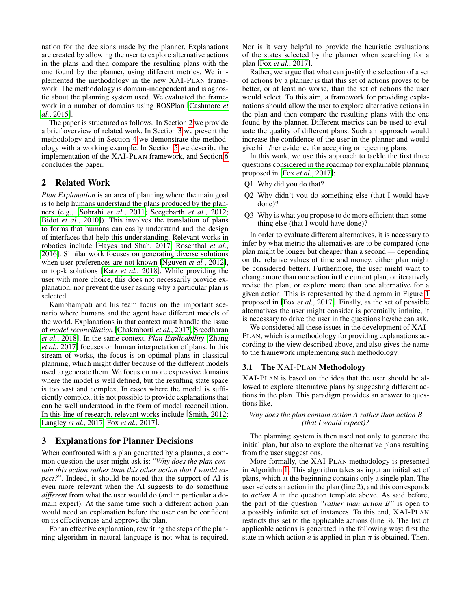nation for the decisions made by the planner. Explanations are created by allowing the user to explore alternative actions in the plans and then compare the resulting plans with the one found by the planner, using different metrics. We implemented the methodology in the new XAI-PLAN framework. The methodology is domain-independent and is agnostic about the planning system used. We evaluated the framework in a number of domains using ROSPlan [\[Cashmore](#page-6-9) *et al.*[, 2015\]](#page-6-9).

The paper is structured as follows. In Section [2](#page-1-0) we provide a brief overview of related work. In Section [3](#page-1-1) we present the methodology and in Section [4](#page-3-0) we demonstrate the methodology with a working example. In Section [5](#page-4-0) we describe the implementation of the XAI-PLAN framework, and Section [6](#page-5-0) concludes the paper.

# <span id="page-1-0"></span>2 Related Work

*Plan Explanation* is an area of planning where the main goal is to help humans understand the plans produced by the planners (e.g., [\[Sohrabi](#page-6-0) *et al.*, 2011; [Seegebarth](#page-6-10) *et al.*, 2012; Bidot *et al.*[, 2010\]](#page-6-11)). This involves the translation of plans to forms that humans can easily understand and the design of interfaces that help this understanding. Relevant works in robotics include [\[Hayes and Shah, 2017;](#page-6-12) [Rosenthal](#page-6-13) *et al.*, [2016\]](#page-6-13). Similar work focuses on generating diverse solutions when user preferences are not known [\[Nguyen](#page-6-14) *et al.*, 2012], or top-k solutions [Katz *et al.*[, 2018\]](#page-6-15). While providing the user with more choice, this does not necessarily provide explanation, nor prevent the user asking why a particular plan is selected.

Kambhampati and his team focus on the important scenario where humans and the agent have different models of the world. Explanations in that context must handle the issue of *model reconciliation* [\[Chakraborti](#page-6-16) *et al.*, 2017; [Sreedharan](#page-6-17) *et al.*[, 2018\]](#page-6-17). In the same context, *Plan Explicability* [\[Zhang](#page-6-18) *et al.*[, 2017\]](#page-6-18) focuses on human interpretation of plans. In this stream of works, the focus is on optimal plans in classical planning, which might differ because of the different models used to generate them. We focus on more expressive domains where the model is well defined, but the resulting state space is too vast and complex. In cases where the model is sufficiently complex, it is not possible to provide explanations that can be well understood in the form of model reconciliation. In this line of research, relevant works include [\[Smith, 2012;](#page-6-19) [Langley](#page-6-20) *et al.*, 2017; Fox *et al.*[, 2017\]](#page-6-8).

# <span id="page-1-1"></span>3 Explanations for Planner Decisions

When confronted with a plan generated by a planner, a common question the user might ask is: "*Why does the plan contain this action rather than this other action that I would expect?*". Indeed, it should be noted that the support of AI is even more relevant when the AI suggests to do something *different* from what the user would do (and in particular a domain expert). At the same time such a different action plan would need an explanation before the user can be confident on its effectiveness and approve the plan.

For an effective explanation, rewriting the steps of the planning algorithm in natural language is not what is required. Nor is it very helpful to provide the heuristic evaluations of the states selected by the planner when searching for a plan [Fox *et al.*[, 2017\]](#page-6-8).

Rather, we argue that what can justify the selection of a set of actions by a planner is that this set of actions proves to be better, or at least no worse, than the set of actions the user would select. To this aim, a framework for providing explanations should allow the user to explore alternative actions in the plan and then compare the resulting plans with the one found by the planner. Different metrics can be used to evaluate the quality of different plans. Such an approach would increase the confidence of the user in the planner and would give him/her evidence for accepting or rejecting plans.

In this work, we use this approach to tackle the first three questions considered in the roadmap for explainable planning proposed in [Fox *et al.*[, 2017\]](#page-6-8):

- Q1 Why did you do that?
- Q2 Why didn't you do something else (that I would have done)?
- Q3 Why is what you propose to do more efficient than something else (that I would have done)?

In order to evaluate different alternatives, it is necessary to infer by what metric the alternatives are to be compared (one plan might be longer but cheaper than a second — depending on the relative values of time and money, either plan might be considered better). Furthermore, the user might want to change more than one action in the current plan, or iteratively revise the plan, or explore more than one alternative for a given action. This is represented by the diagram in Figure [1](#page-2-0) proposed in [Fox *et al.*[, 2017\]](#page-6-8). Finally, as the set of possible alternatives the user might consider is potentially infinite, it is necessary to drive the user in the questions he/she can ask.

We considered all these issues in the development of XAI-PLAN, which is a methodology for providing explanations according to the view described above, and also gives the name to the framework implementing such methodology.

### <span id="page-1-2"></span>3.1 The XAI-PLAN Methodology

XAI-PLAN is based on the idea that the user should be allowed to explore alternative plans by suggesting different actions in the plan. This paradigm provides an answer to questions like,

### *Why does the plan contain action A rather than action B (that I would expect)?*

The planning system is then used not only to generate the initial plan, but also to explore the alternative plans resulting from the user suggestions.

More formally, the XAI-PLAN methodology is presented in Algorithm [1.](#page-2-1) This algorithm takes as input an initial set of plans, which at the beginning contains only a single plan. The user selects an action in the plan (line 2), and this corresponds to *action A* in the question template above. As said before, the part of the question *"rather than action B"* is open to a possibly infinite set of instances. To this end, XAI-PLAN restricts this set to the applicable actions (line 3). The list of applicable actions is generated in the following way: first the state in which action a is applied in plan  $\pi$  is obtained. Then,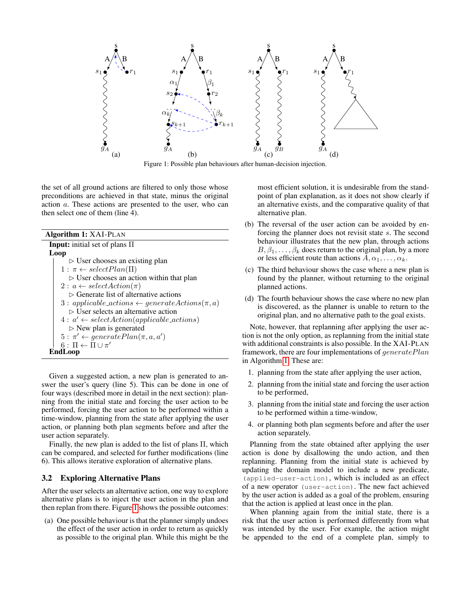<span id="page-2-0"></span>

Figure 1: Possible plan behaviours after human-decision injection.

the set of all ground actions are filtered to only those whose preconditions are achieved in that state, minus the original action a. These actions are presented to the user, who can then select one of them (line 4).

| <b>Algorithm 1: XAI-PLAN</b>                                 |
|--------------------------------------------------------------|
| <b>Input:</b> initial set of plans $\Pi$                     |
| Loop                                                         |
| $\triangleright$ User chooses an existing plan               |
| $1: \pi \leftarrow selectPlan(\Pi)$                          |
| $\triangleright$ User chooses an action within that plan     |
| $2: a \leftarrow selectAction(\pi)$                          |
| $\triangleright$ Generate list of alternative actions        |
| $3: applicable\_actions \leftarrow generate Actions(\pi, a)$ |
| $\triangleright$ User selects an alternative action          |
| $4: a' \leftarrow selectAction(applicable\_actions)$         |
| $\triangleright$ New plan is generated                       |
| $5: \pi' \leftarrow generatePlan(\pi, a, a')$                |
| $6: \Pi \leftarrow \Pi \cup \pi'$                            |
| EndLoop                                                      |

<span id="page-2-1"></span>Given a suggested action, a new plan is generated to answer the user's query (line 5). This can be done in one of four ways (described more in detail in the next section): planning from the initial state and forcing the user action to be performed, forcing the user action to be performed within a time-window, planning from the state after applying the user action, or planning both plan segments before and after the user action separately.

Finally, the new plan is added to the list of plans Π, which can be compared, and selected for further modifications (line 6). This allows iterative exploration of alternative plans.

### 3.2 Exploring Alternative Plans

After the user selects an alternative action, one way to explore alternative plans is to inject the user action in the plan and then replan from there. Figure [1](#page-2-0) shows the possible outcomes:

(a) One possible behaviour is that the planner simply undoes the effect of the user action in order to return as quickly as possible to the original plan. While this might be the most efficient solution, it is undesirable from the standpoint of plan explanation, as it does not show clearly if an alternative exists, and the comparative quality of that alternative plan.

- (b) The reversal of the user action can be avoided by enforcing the planner does not revisit state s. The second behaviour illustrates that the new plan, through actions  $B, \beta_1, \ldots, \beta_k$  does return to the original plan, by a more or less efficient route than actions  $A, \alpha_1, \ldots, \alpha_k$ .
- (c) The third behaviour shows the case where a new plan is found by the planner, without returning to the original planned actions.
- (d) The fourth behaviour shows the case where no new plan is discovered, as the planner is unable to return to the original plan, and no alternative path to the goal exists.

Note, however, that replanning after applying the user action is not the only option, as replanning from the initial state with additional constraints is also possible. In the XAI-PLAN framework, there are four implementations of generatePlan in Algorithm [1.](#page-2-1) These are:

- 1. planning from the state after applying the user action,
- 2. planning from the initial state and forcing the user action to be performed,
- 3. planning from the initial state and forcing the user action to be performed within a time-window,
- 4. or planning both plan segments before and after the user action separately.

Planning from the state obtained after applying the user action is done by disallowing the undo action, and then replanning. Planning from the initial state is achieved by updating the domain model to include a new predicate, (applied-user-action), which is included as an effect of a new operator (user-action). The new fact achieved by the user action is added as a goal of the problem, ensuring that the action is applied at least once in the plan.

When planning again from the initial state, there is a risk that the user action is performed differently from what was intended by the user. For example, the action might be appended to the end of a complete plan, simply to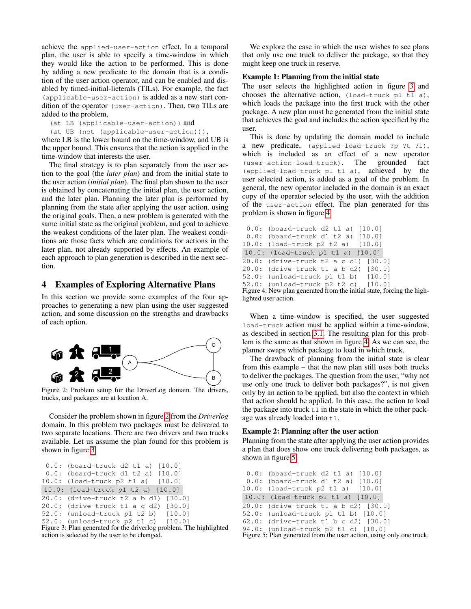achieve the applied-user-action effect. In a temporal plan, the user is able to specify a time-window in which they would like the action to be performed. This is done by adding a new predicate to the domain that is a condition of the user action operator, and can be enabled and disabled by timed-initial-lieterals (TILs). For example, the fact (applicable-user-action) is added as a new start condition of the operator (user-action). Then, two TILs are added to the problem,

(at LB (applicable-user-action)) and

(at UB (not (applicable-user-action))),

where LB is the lower bound on the time-window, and UB is the upper bound. This ensures that the action is applied in the time-window that interests the user.

The final strategy is to plan separately from the user action to the goal (the *later plan*) and from the initial state to the user action (*initial plan*). The final plan shown to the user is obtained by concatenating the initial plan, the user action, and the later plan. Planning the later plan is performed by planning from the state after applying the user action, using the original goals. Then, a new problem is generated with the same initial state as the original problem, and goal to achieve the weakest conditions of the later plan. The weakest conditions are those facts which are conditions for actions in the later plan, not already supported by effects. An example of each approach to plan generation is described in the next section.

# <span id="page-3-0"></span>4 Examples of Exploring Alternative Plans

In this section we provide some examples of the four approaches to generating a new plan using the user suggested action, and some discussion on the strengths and drawbacks of each option.

<span id="page-3-1"></span>

Figure 2: Problem setup for the DriverLog domain. The drivers, trucks, and packages are at location A.

Consider the problem shown in figure [2](#page-3-1) from the *Driverlog* domain. In this problem two packages must be delivered to two separate locations. There are two drivers and two trucks available. Let us assume the plan found for this problem is shown in figure [3.](#page-3-2)

```
0.0: (board-truck d2 t1 a) [10.0]
 0.0: (board-truck d1 t2 a) [10.0]
10.0: (load-truck p2 t1 a) [10.0]
10.0: (load-truck p1 t2 a) [10.0]
20.0: (drive-truck t2 a b d1) [30.0]
20.0: (drive-truck t1 a c d2) [30.0]
52.0: (unload-truck p1 t2 b) [10.0]
52.0: (unload-truck p2 t1 c) [10.0]
Figure 3: Plan generated for the driverlog problem. The highlighted
```
action is selected by the user to be changed.

We explore the case in which the user wishes to see plans that only use one truck to deliver the package, so that they might keep one truck in reserve.

### Example 1: Planning from the initial state

The user selects the highlighted action in figure [3](#page-3-2) and chooses the alternative action,  $($ load-truck p1 t1 a), which loads the package into the first truck with the other package. A new plan must be generated from the initial state that achieves the goal and includes the action specified by the user.

This is done by updating the domain model to include a new predicate, (applied-load-truck ?p ?t ?l), which is included as an effect of a new operator (user-action-load-truck). The grounded fact (applied-load-truck p1 t1 a), achieved by the user selected action, is added as a goal of the problem. In general, the new operator included in the domain is an exact copy of the operator selected by the user, with the addition of the user-action effect. The plan generated for this problem is shown in figure [4.](#page-3-3)

```
0.0: (board-truck d2 t1 a) [10.0]
 0.0: (board-truck d1 t2 a) [10.0]
10.0: (load-truck p2 t2 a) [10.0]
10.0: (load-truck p1 t1 a) [10.0]
20.0: (drive-truck t2 a c d1) [30.0]
20.0: (drive-truck t1 a b d2) [30.0]
52.0: (unload-truck p1 t1 b) [10.0]
52.0: (unload-truck p2 t2 c) [10.0]
```
Figure 4: New plan generated from the initial state, forcing the highlighted user action.

When a time-window is specified, the user suggested load-truck action must be applied within a time-window, as descibed in section [3.1.](#page-1-2) The resulting plan for this problem is the same as that shown in figure [4.](#page-3-3) As we can see, the planner swaps which package to load in which truck.

The drawback of planning from the initial state is clear from this example – that the new plan still uses both trucks to deliver the packages. The question from the user, "why not use only one truck to deliver both packages?", is not given only by an action to be applied, but also the context in which that action should be applied. In this case, the action to load the package into truck  $t_1$  in the state in which the other package was already loaded into  $t1$ .

### Example 2: Planning after the user action

Planning from the state after applying the user action provides a plan that does show one truck delivering both packages, as shown in figure [5](#page-3-4)

```
0.0: (board-truck d2 t1 a) [10.0]
 0.0: (board-truck d1 t2 a) [10.0]
10.0: (load-truck p2 t1 a) [10.0]
10.0: (load-truck p1 t1 a) [10.0]
20.0: (drive-truck t1 a b d2) [30.0]
52.0: (unload-truck p1 t1 b) [10.0]
62.0: (drive-truck t1 b c d2) [30.0]
94.0: (unload-truck p2 t1 c) [10.0]
```
Figure 5: Plan generated from the user action, using only one truck.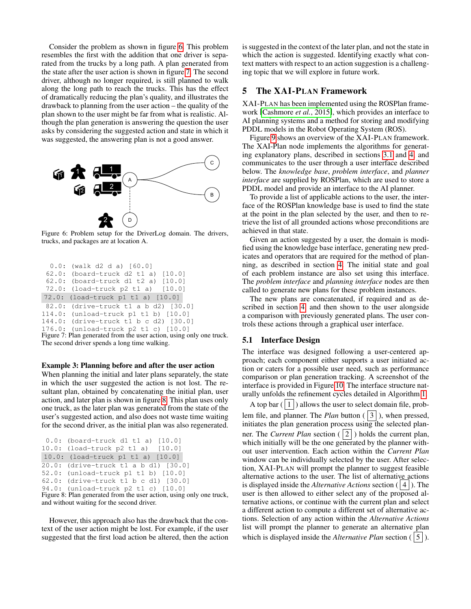Consider the problem as shown in figure [6.](#page-4-1) This problem resembles the first with the addition that one driver is separated from the trucks by a long path. A plan generated from the state after the user action is shown in figure [7.](#page-4-2) The second driver, although no longer required, is still planned to walk along the long path to reach the trucks. This has the effect of dramatically reducing the plan's quality, and illustrates the drawback to planning from the user action – the quality of the plan shown to the user might be far from what is realistic. Although the plan generation is answering the question the user asks by considering the suggested action and state in which it was suggested, the answering plan is not a good answer.

<span id="page-4-1"></span>

Figure 6: Problem setup for the DriverLog domain. The drivers, trucks, and packages are at location A.

```
0.0: (walk d2 d a) [60.0]
 62.0: (board-truck d2 t1 a) [10.0]
 62.0: (board-truck d1 t2 a) [10.0]
 72.0: (load-truck p2 t1 a) [10.0]
72.0: (load-truck p1 t1 a) [10.0]
 82.0: (drive-truck t1 a b d2) [30.0]
114.0: (unload-truck p1 t1 b) [10.0]
144.0: (drive-truck t1 b c d2) [30.0]
176.0: (unload-truck p2 t1 c) [10.0]
```
Figure 7: Plan generated from the user action, using only one truck. The second driver spends a long time walking.

#### Example 3: Planning before and after the user action

When planning the initial and later plans separately, the state in which the user suggested the action is not lost. The resultant plan, obtained by concatenating the initial plan, user action, and later plan is shown in figure [8.](#page-4-3) This plan uses only one truck, as the later plan was generated from the state of the user's suggested action, and also does not waste time waiting for the second driver, as the initial plan was also regenerated.

```
0.0: (board-truck d1 t1 a) [10.0]
10.0: (load-truck p2 t1 a) [10.0]
10.0: (load-truck p1 t1 a) [10.0]
20.0: (drive-truck t1 a b d1) [30.0]
52.0: (unload-truck p1 t1 b) [10.0]
62.0: (drive-truck t1 b c d1) [30.0]
94.0: (unload-truck p2 t1 c) [10.0]
Figure 8: Plan generated from the user action, using only one truck,
and without waiting for the second driver.
```
However, this approach also has the drawback that the context of the user action might be lost. For example, if the user suggested that the first load action be altered, then the action is suggested in the context of the later plan, and not the state in which the action is suggested. Identifying exactly what context matters with respect to an action suggestion is a challenging topic that we will explore in future work.

### <span id="page-4-0"></span>5 The XAI-PLAN Framework

XAI-PLAN has been implemented using the ROSPlan framework [\[Cashmore](#page-6-9) *et al.*, 2015], which provides an interface to AI planning systems and a method for storing and modifying PDDL models in the Robot Operating System (ROS).

Figure [9](#page-5-1) shows an overview of the XAI-PLAN framework. The XAI-Plan node implements the algorithms for generating explanatory plans, described in sections [3.1](#page-1-2) and [4,](#page-3-0) and communicates to the user through a user interface described below. The *knowledge base*, *problem interface*, and *planner interface* are supplied by ROSPlan, which are used to store a PDDL model and provide an interface to the AI planner.

To provide a list of applicable actions to the user, the interface of the ROSPlan knowledge base is used to find the state at the point in the plan selected by the user, and then to retrieve the list of all grounded actions whose preconditions are achieved in that state.

Given an action suggested by a user, the domain is modified using the knowledge base interface, generating new predicates and operators that are required for the method of planning, as described in section [4.](#page-3-0) The initial state and goal of each problem instance are also set using this interface. The *problem interface* and *planning interface* nodes are then called to generate new plans for these problem instances.

The new plans are concatenated, if required and as described in section [4,](#page-3-0) and then shown to the user alongside a comparison with previously generated plans. The user controls these actions through a graphical user interface.

#### 5.1 Interface Design

The interface was designed following a user-centered approach; each component either supports a user initiated action or caters for a possible user need, such as performance comparison or plan generation tracking. A screenshot of the interface is provided in Figure [10.](#page-5-2) The interface structure naturally unfolds the refinement cycles detailed in Algorithm [1.](#page-2-1)

A top bar  $(|1|)$  allows the user to select domain file, problem file, and planner. The *Plan* button  $(|3|)$ , when pressed, initiates the plan generation process using the selected planner. The *Current Plan* section  $(|2|)$  holds the current plan, which initially will be the one generated by the planner without user intervention. Each action within the *Current Plan* window can be individually selected by the user. After selection, XAI-PLAN will prompt the planner to suggest feasible alternative actions to the user. The list of alternative actions is displayed inside the *Alternative Actions* section ( 4 ). The user is then allowed to either select any of the proposed alternative actions, or continue with the current plan and select a different action to compute a different set of alternative actions. Selection of any action within the *Alternative Actions* list will prompt the planner to generate an alternative plan which is displayed inside the *Alternative Plan* section  $(|5|)$ .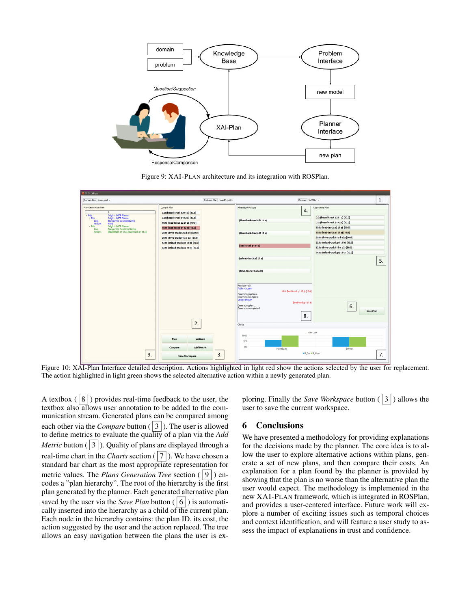<span id="page-5-1"></span>

Figure 9: XAI-PLAN architecture and its integration with ROSPlan.

<span id="page-5-2"></span>

Figure 10: XAI-Plan Interface detailed description. Actions highlighted in light red show the actions selected by the user for replacement. The action highlighted in light green shows the selected alternative action within a newly generated plan.

A textbox  $(|8|)$  provides real-time feedback to the user, the textbox also allows user annotation to be added to the communication stream. Generated plans can be compared among each other via the *Compare* button  $(|3|)$ . The user is allowed to define metrics to evaluate the quality of a plan via the *Add Metric* button ( $|3|$ ). Quality of plans are displayed through a real-time chart in the *Charts* section  $(|7|)$ . We have chosen a standard bar chart as the most appropriate representation for metric values. The *Plans Generation Tree* section ( 9) encodes a "plan hierarchy". The root of the hierarchy is the first plan generated by the planner. Each generated alternative plan saved by the user via the *Save Plan* button  $(|6|)$  is automatically inserted into the hierarchy as a child of the current plan. Each node in the hierarchy contains: the plan ID, its cost, the action suggested by the user and the action replaced. The tree allows an easy navigation between the plans the user is exploring. Finally the *Save Workspace* button ( 3 ) allows the user to save the current workspace.

### <span id="page-5-0"></span>6 Conclusions

We have presented a methodology for providing explanations for the decisions made by the planner. The core idea is to allow the user to explore alternative actions within plans, generate a set of new plans, and then compare their costs. An explanation for a plan found by the planner is provided by showing that the plan is no worse than the alternative plan the user would expect. The methodology is implemented in the new XAI-PLAN framework, which is integrated in ROSPlan, and provides a user-centered interface. Future work will explore a number of exciting issues such as temporal choices and context identification, and will feature a user study to assess the impact of explanations in trust and confidence.